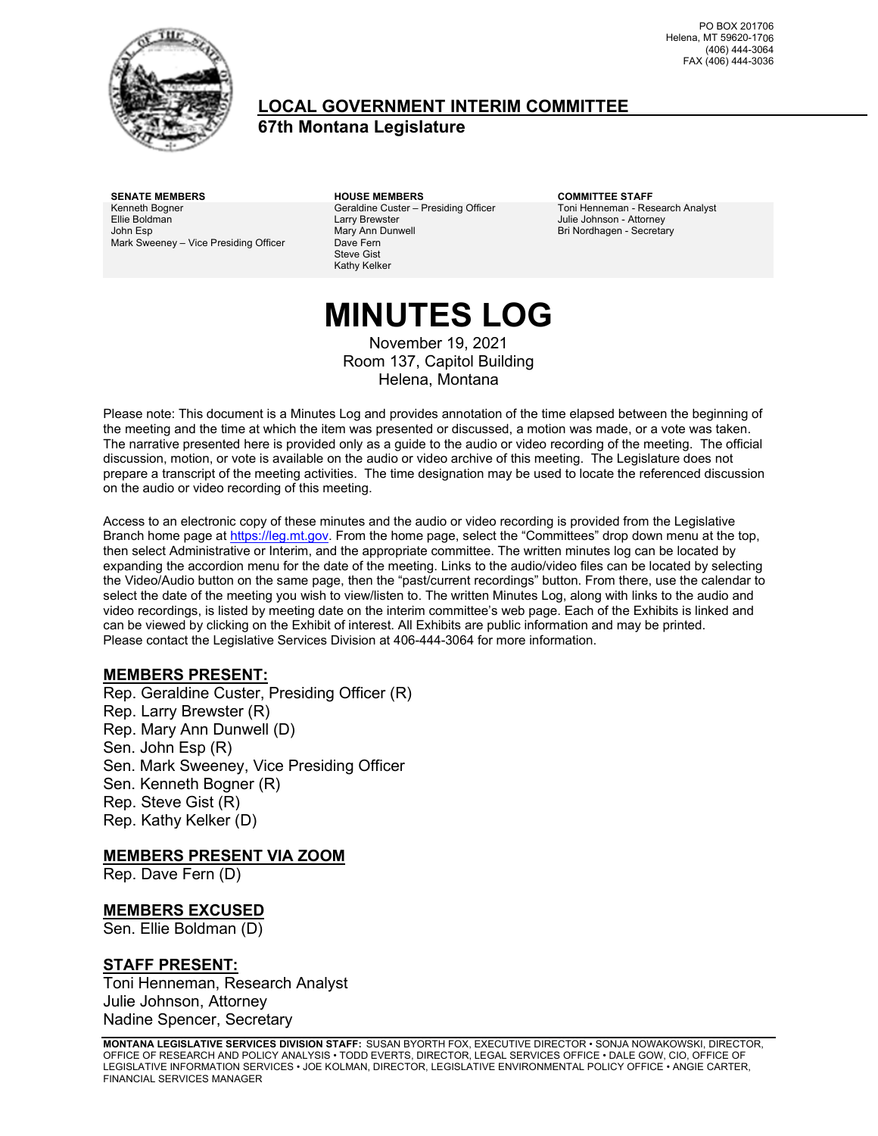

#### **LOCAL GOVERNMENT INTERIM COMMITTEE 67th Montana Legislature**

PO BOX 201706 Helena, MT 59620-1706 (406) 444-3064 FAX (406) 444-3036

**SENATE MEMBERS HOUSE MEMBERS COMMITTEE STAFF** Kenneth Bogner Ellie Boldman John Esp Mark Sweeney – Vice Presiding Officer

Geraldine Custer – Presiding Officer Larry Brewster Mary Ann Dunwell Dave Fern Steve Gist Kathy Kelker

Toni Henneman - Research Analyst Julie Johnson - Attorney Bri Nordhagen - Secretary

# **MINUTES LOG**

November 19, 2021 Room 137, Capitol Building Helena, Montana

Please note: This document is a Minutes Log and provides annotation of the time elapsed between the beginning of the meeting and the time at which the item was presented or discussed, a motion was made, or a vote was taken. The narrative presented here is provided only as a guide to the audio or video recording of the meeting. The official discussion, motion, or vote is available on the audio or video archive of this meeting. The Legislature does not prepare a transcript of the meeting activities. The time designation may be used to locate the referenced discussion on the audio or video recording of this meeting.

Access to an electronic copy of these minutes and the audio or video recording is provided from the Legislative Branch home page a[t https://leg.mt.gov.](http://legmt.gov/) From the home page, select the "Committees" drop down menu at the top, then select Administrative or Interim, and the appropriate committee. The written minutes log can be located by expanding the accordion menu for the date of the meeting. Links to the audio/video files can be located by selecting the Video/Audio button on the same page, then the "past/current recordings" button. From there, use the calendar to select the date of the meeting you wish to view/listen to. The written Minutes Log, along with links to the audio and video recordings, is listed by meeting date on the interim committee's web page. Each of the Exhibits is linked and can be viewed by clicking on the Exhibit of interest. All Exhibits are public information and may be printed. Please contact the Legislative Services Division at 406-444-3064 for more information.

#### **MEMBERS PRESENT:**

Rep. Geraldine Custer, Presiding Officer (R) Rep. Larry Brewster (R) Rep. Mary Ann Dunwell (D) Sen. John Esp (R) Sen. Mark Sweeney, Vice Presiding Officer Sen. Kenneth Bogner (R) Rep. Steve Gist (R) Rep. Kathy Kelker (D)

#### **MEMBERS PRESENT VIA ZOOM**

Rep. Dave Fern (D)

**MEMBERS EXCUSED**

Sen. Ellie Boldman (D)

#### **STAFF PRESENT:**

Toni Henneman, Research Analyst Julie Johnson, Attorney Nadine Spencer, Secretary

**MONTANA LEGISLATIVE SERVICES DIVISION STAFF:** SUSAN BYORTH FOX, EXECUTIVE DIRECTOR • SONJA NOWAKOWSKI, DIRECTOR, OFFICE OF RESEARCH AND POLICY ANALYSIS • TODD EVERTS, DIRECTOR, LEGAL SERVICES OFFICE • DALE GOW, CIO, OFFICE OF LEGISLATIVE INFORMATION SERVICES • JOE KOLMAN, DIRECTOR, LEGISLATIVE ENVIRONMENTAL POLICY OFFICE • ANGIE CARTER, FINANCIAL SERVICES MANAGER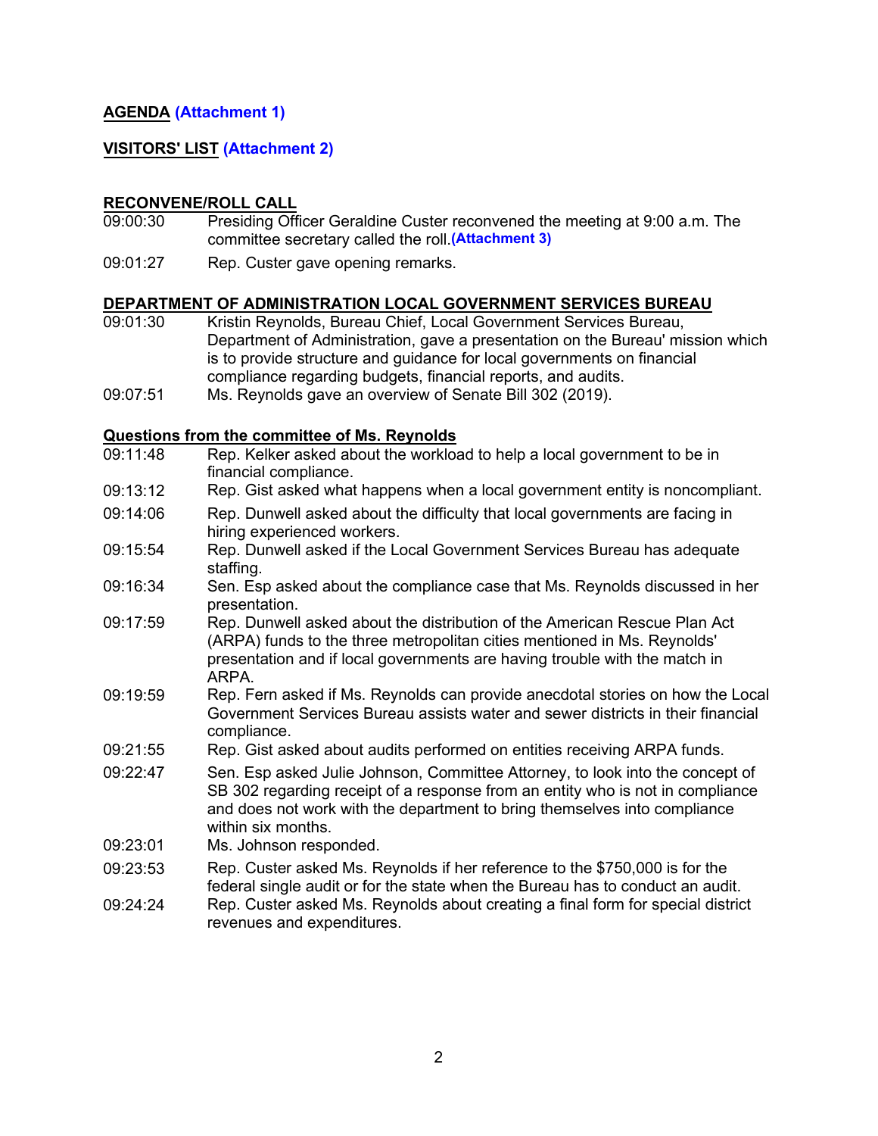### **AGENDA ([Attachment 1](https://leg.mt.gov/content/Committees/Interim/2021-2022/Local-Gov/21_Nov/LGIC_NovAgenda.pdf))**

#### **VISITORS' LIST [\(Attachment 2](https://leg.mt.gov/content/Committees/Interim/2021-2022/Local-Gov/21_Nov/Nov-19-Attachment2.pdf))**

### **RECONVENE/ROLL CALL**<br>09:00:30 Presiding Off

- Presiding Officer Geraldine Custer reconvened the meeting at 9:00 a.m. The committee secretary called the roll. **(Attachment 3)**
- 09:01:27 Rep. Custer gave opening remarks.

#### **DEPARTMENT OF ADMINISTRATION LOCAL GOVERNMENT SERVICES BUREAU**

- 09:01:30 Kristin Reynolds, Bureau Chief, Local Government Services Bureau, Department of Administration, gave a presentation on the Bureau' mission which is to provide structure and guidance for local governments on financial compliance regarding budgets, financial reports, and audits.
- 09:07:51 Ms. Reynolds gave an overview of Senate Bill 302 (2019).

## **Questions from the committee of Ms. Reynolds**

- Rep. Kelker asked about the workload to help a local government to be in financial compliance.
- 09:13:12 Rep. Gist asked what happens when a local government entity is noncompliant.
- 09:14:06 Rep. Dunwell asked about the difficulty that local governments are facing in hiring experienced workers.
- 09:15:54 Rep. Dunwell asked if the Local Government Services Bureau has adequate staffing.
- 09:16:34 Sen. Esp asked about the compliance case that Ms. Reynolds discussed in her presentation.
- 09:17:59 Rep. Dunwell asked about the distribution of the American Rescue Plan Act (ARPA) funds to the three metropolitan cities mentioned in Ms. Reynolds' presentation and if local governments are having trouble with the match in ARPA.
- 09:19:59 Rep. Fern asked if Ms. Reynolds can provide anecdotal stories on how the Local Government Services Bureau assists water and sewer districts in their financial compliance.
- 09:21:55 Rep. Gist asked about audits performed on entities receiving ARPA funds.
- 09:22:47 Sen. Esp asked Julie Johnson, Committee Attorney, to look into the concept of SB 302 regarding receipt of a response from an entity who is not in compliance and does not work with the department to bring themselves into compliance within six months.
- 09:23:01 Ms. Johnson responded.
- 09:23:53 Rep. Custer asked Ms. Reynolds if her reference to the \$750,000 is for the federal single audit or for the state when the Bureau has to conduct an audit.
- 09:24:24 Rep. Custer asked Ms. Reynolds about creating a final form for special district revenues and expenditures.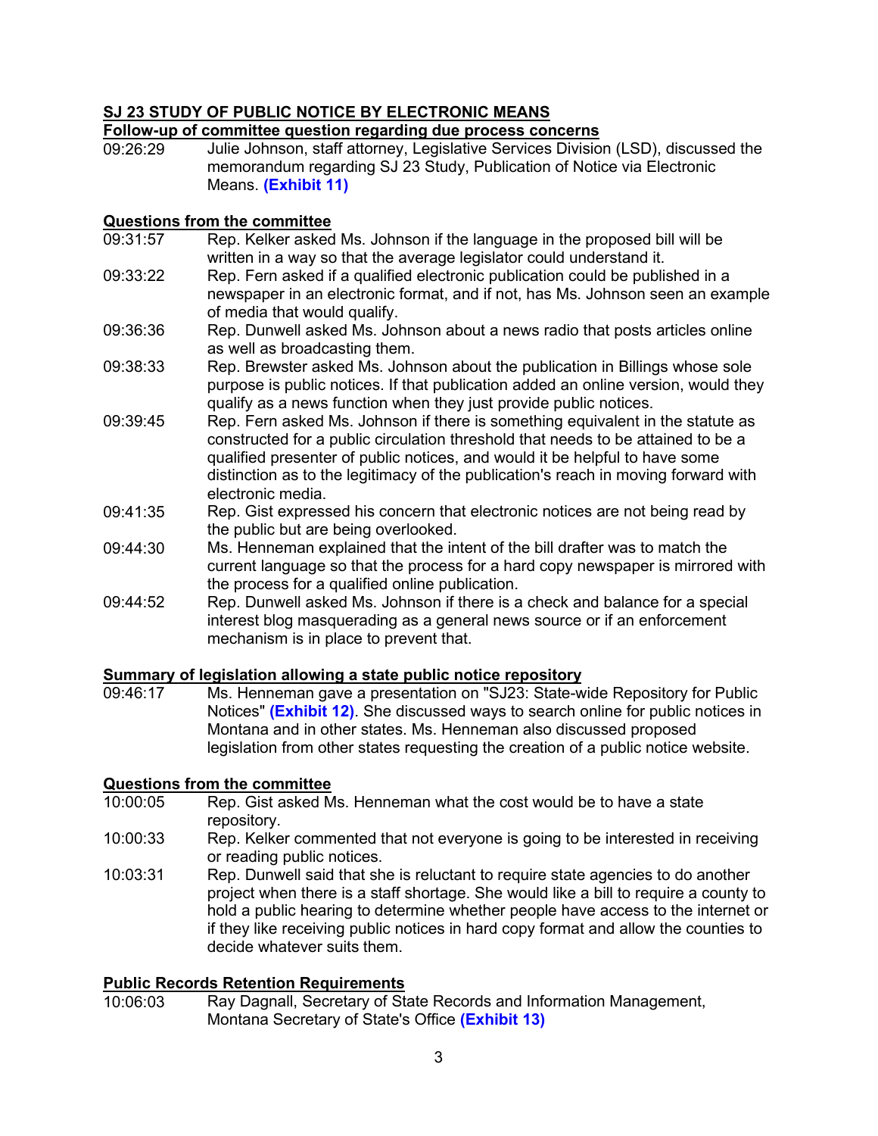#### **SJ 23 STUDY OF PUBLIC NOTICE BY ELECTRONIC MEANS**

### **Follow-up of committee question regarding due process concerns**

Julie Johnson, staff attorney, Legislative Services Division (LSD), discussed the memorandum regarding SJ 23 Study, Publication of Notice via Electronic Means. **[\(Exhibit 11\)](https://leg.mt.gov/content/Committees/Interim/2021-2022/Local-Gov/21_Nov/Memo_ElectronicPublicNotice_DueProcess.pdf)**

#### **Questions from the committee**

- 09:31:57 Rep. Kelker asked Ms. Johnson if the language in the proposed bill will be written in a way so that the average legislator could understand it.
- 09:33:22 Rep. Fern asked if a qualified electronic publication could be published in a newspaper in an electronic format, and if not, has Ms. Johnson seen an example of media that would qualify.
- 09:36:36 Rep. Dunwell asked Ms. Johnson about a news radio that posts articles online as well as broadcasting them.
- 09:38:33 Rep. Brewster asked Ms. Johnson about the publication in Billings whose sole purpose is public notices. If that publication added an online version, would they qualify as a news function when they just provide public notices.
- 09:39:45 Rep. Fern asked Ms. Johnson if there is something equivalent in the statute as constructed for a public circulation threshold that needs to be attained to be a qualified presenter of public notices, and would it be helpful to have some distinction as to the legitimacy of the publication's reach in moving forward with electronic media.
- 09:41:35 Rep. Gist expressed his concern that electronic notices are not being read by the public but are being overlooked.
- 09:44:30 Ms. Henneman explained that the intent of the bill drafter was to match the current language so that the process for a hard copy newspaper is mirrored with the process for a qualified online publication.
- 09:44:52 Rep. Dunwell asked Ms. Johnson if there is a check and balance for a special interest blog masquerading as a general news source or if an enforcement mechanism is in place to prevent that.

#### **Summary of legislation allowing a state public notice repository**

09:46:17 Ms. Henneman gave a presentation on "SJ23: State-wide Repository for Public Notices" **([Exhibit 12\)](https://leg.mt.gov/content/Committees/Interim/2021-2022/Local-Gov/21_Nov/SJ23_PublicNoticeRepository.pdf)**. She discussed ways to search online for public notices in Montana and in other states. Ms. Henneman also discussed proposed legislation from other states requesting the creation of a public notice website.

### **Questions from the committee**<br>10:00:05 Rep. Gist asked M

- Rep. Gist asked Ms. Henneman what the cost would be to have a state repository.
- 10:00:33 Rep. Kelker commented that not everyone is going to be interested in receiving or reading public notices.
- 10:03:31 Rep. Dunwell said that she is reluctant to require state agencies to do another project when there is a staff shortage. She would like a bill to require a county to hold a public hearing to determine whether people have access to the internet or if they like receiving public notices in hard copy format and allow the counties to decide whatever suits them.

### **Public Records Retention Requirements**

Ray Dagnall, Secretary of State Records and Information Management, Montana Secretary of State's Office **([Exhibit 13\)](https://leg.mt.gov/content/Committees/Interim/2021-2022/Local-Gov/21_Nov/Local_Schedule_General.pdf)**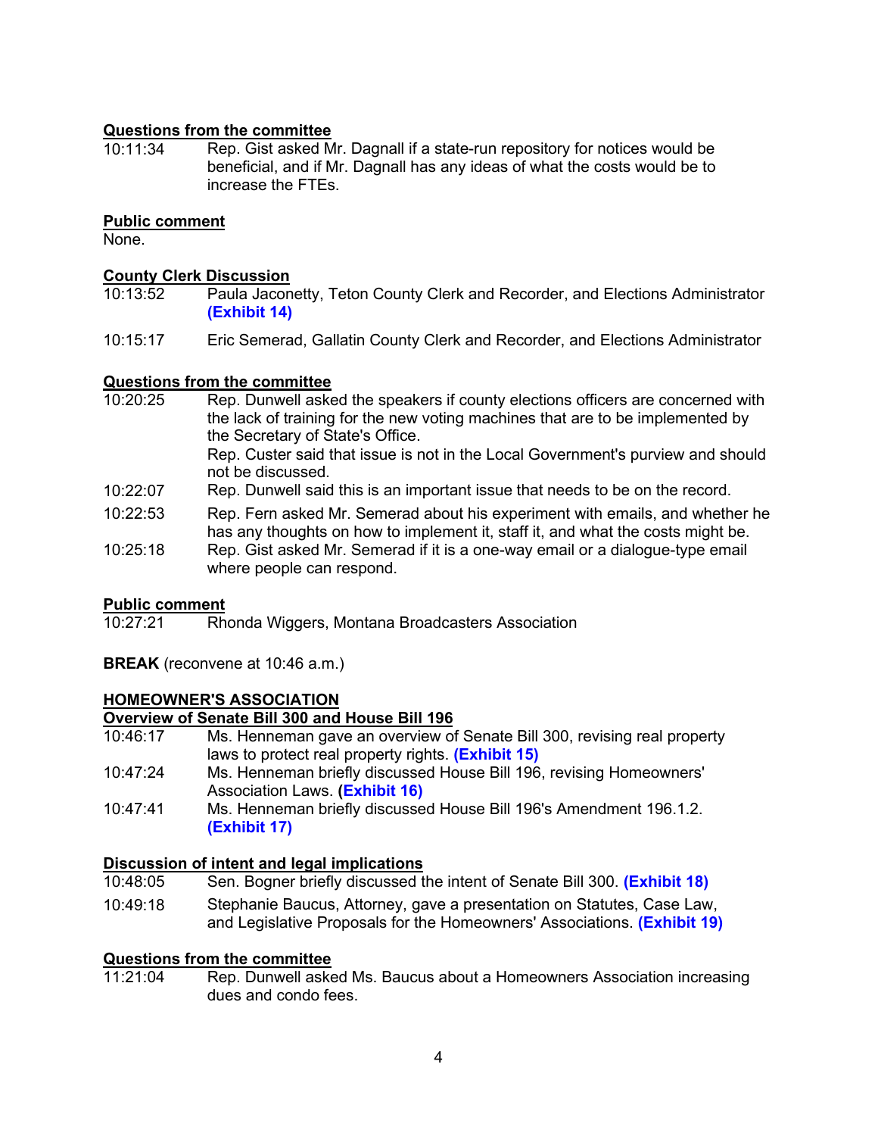#### **Questions from the committee**

10:11:34 Rep. Gist asked Mr. Dagnall if a state-run repository for notices would be beneficial, and if Mr. Dagnall has any ideas of what the costs would be to increase the FTEs.

#### **Public comment**

None.

#### **County Clerk Discussion**

10:13:52 Paula Jaconetty, Teton County Clerk and Recorder, and Elections Administrator **[\(Exhibit 14\)](https://leg.mt.gov/content/Committees/Interim/2021-2022/Local-Gov/21_Nov/Nov-19-Exhibit14.pdf)**

10:15:17 Eric Semerad, Gallatin County Clerk and Recorder, and Elections Administrator

#### **Questions from the committee**

- 10:20:25 Rep. Dunwell asked the speakers if county elections officers are concerned with the lack of training for the new voting machines that are to be implemented by the Secretary of State's Office. Rep. Custer said that issue is not in the Local Government's purview and should not be discussed.
- 10:22:07 Rep. Dunwell said this is an important issue that needs to be on the record.
- 10:22:53 Rep. Fern asked Mr. Semerad about his experiment with emails, and whether he has any thoughts on how to implement it, staff it, and what the costs might be.
- 10:25:18 Rep. Gist asked Mr. Semerad if it is a one-way email or a dialogue-type email where people can respond.

### **Public comment**<br>10:27:21 Rh

Rhonda Wiggers, Montana Broadcasters Association

**BREAK** (reconvene at 10:46 a.m.)

#### **HOMEOWNER'S ASSOCIATION**

#### **Overview of Senate Bill 300 and House Bill 196**

- 10:46:17 Ms. Henneman gave an overview of Senate Bill 300, revising real property laws to protect real property rights. **[\(Exhibit 1](https://leg.mt.gov/bills/2019/billpdf/SB0300.pdf)5)**
- 10:47:24 Ms. Henneman briefly discussed House Bill 196, revising Homeowners' Association Laws. **[\(Exhibit 1](https://leg.mt.gov/bills/2021/billpdf/HB0196.pdf)6)**
- 10:47:41 Ms. Henneman briefly discussed House Bill 196's Amendment 196.1.2. **[\(Exhibit 1](https://leg.mt.gov/bills/2021/AmdPublicWeb/HB0196.001.002.pdf)7)**

#### **Discussion of intent and legal implications**

- 10:48:05 Sen. Bogner briefly discussed the intent of Senate Bill 300. **([Exhibit 1](https://leg.mt.gov/content/Committees/Interim/2021-2022/Local-Gov/21_Nov/Nov-19-Exhibit18.pdf)8)**
- 10:49:18 Stephanie Baucus, Attorney, gave a presentation on Statutes, Case Law, and Legislative Proposals for the Homeowners' Associations. **([Exhibit 1](https://leg.mt.gov/content/Committees/Interim/2021-2022/Local-Gov/21_Nov/HOA_Presentation_SB300.pdf)9)**

#### **Questions from the committee**

11:21:04 Rep. Dunwell asked Ms. Baucus about a Homeowners Association increasing dues and condo fees.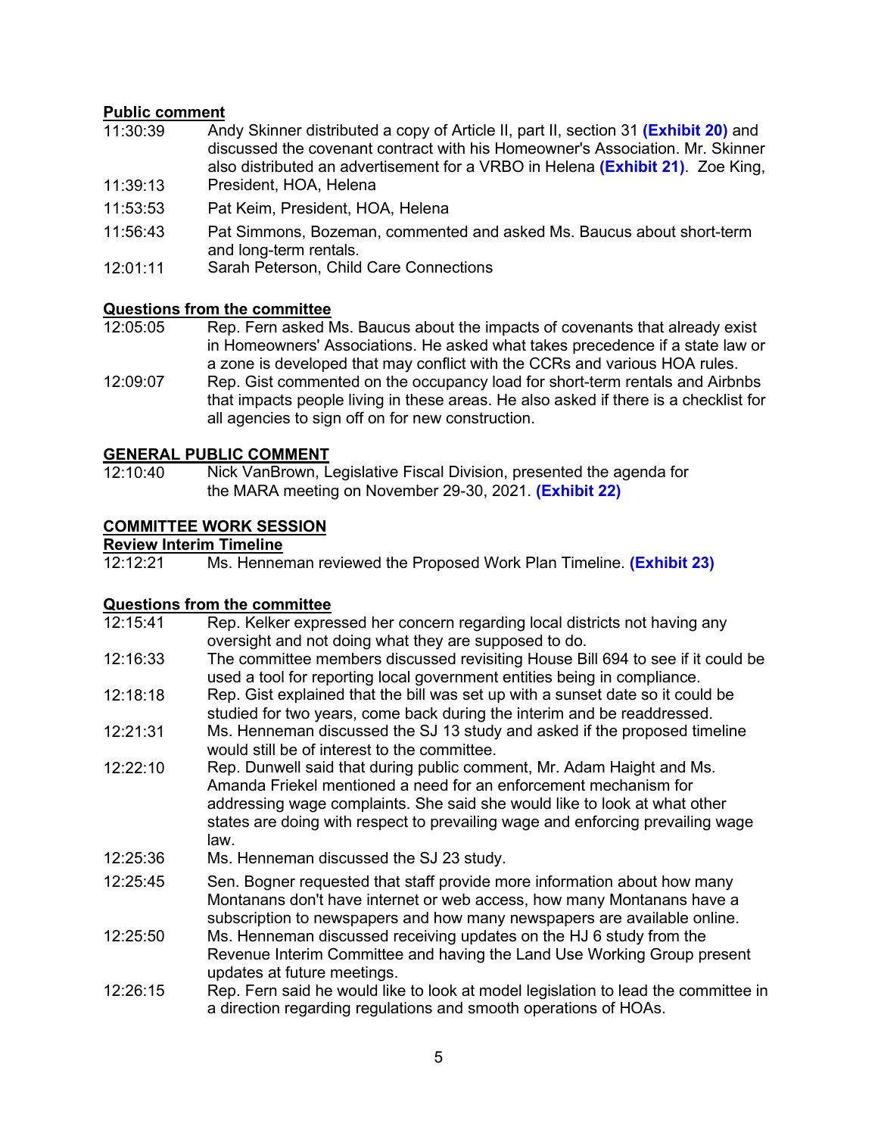#### **Public comment**

- 11:30:39 11:39:13 Andy Skinner distributed a copy of Article II, part II, section 31 **[\(Exhibit](https://leg.mt.gov/content/Committees/Interim/2021-2022/Local-Gov/21_Nov/Nov-19-Exhibit20.pdf) 20)** and discussed the covenant contract with his Homeowner's Association. Mr. Skinner also distributed an advertisement for a VRBO in Helena **[\(Exhibit 2](https://leg.mt.gov/content/Committees/Interim/2021-2022/Local-Gov/21_Nov/Nov-19-Exhibit21.pdf)1)**. Zoe King,
- President, HOA, Helena
- 11:53:53 Pat Keim, President, HOA, Helena
- 11:56:43 Pat Simmons, Bozeman, commented and asked Ms. Baucus about short-term and long-term rentals.
- 12:01:11 Sarah Peterson, Child Care Connections

### **Questions from the committee**<br>12:05:05 Rep. Fern asked N

- Rep. Fern asked Ms. Baucus about the impacts of covenants that already exist in Homeowners' Associations. He asked what takes precedence if a state law or a zone is developed that may conflict with the CCRs and various HOA rules.
- 12:09:07 Rep. Gist commented on the occupancy load for short-term rentals and Airbnbs that impacts people living in these areas. He also asked if there is a checklist for all agencies to sign off on for new construction.

### **GENERAL PUBLIC COMMENT**<br>12:10:40 Nick VanBrown, L

Nick VanBrown, Legislative Fiscal Division, presented the agenda for the MARA meeting on November 29-30, 2021. **[\(Exhibit 2](https://leg.mt.gov/content/Committees/Interim/2021-2022/Local-Gov/21_Nov/Nov-19-Exhibit22.pdf)2)** 

#### **COMMITTEE WORK SESSION**

### **Review Interim Timeline**<br>12:12:21 Ms. Henner

12:12:21 Ms. Henneman reviewed the Proposed Work Plan Timeline. **([Exhibit 2](https://leg.mt.gov/content/Committees/Interim/2021-2022/Local-Gov/21_Nov/2021WorkPlanTimelineNov.pdf)3)**

#### **Questions from the committee**

- 12:15:41 Rep. Kelker expressed her concern regarding local districts not having any oversight and not doing what they are supposed to do.
- 12:16:33 The committee members discussed revisiting House Bill 694 to see if it could be used a tool for reporting local government entities being in compliance.
- 12:18:18 Rep. Gist explained that the bill was set up with a sunset date so it could be studied for two years, come back during the interim and be readdressed.
- 12:21:31 Ms. Henneman discussed the SJ 13 study and asked if the proposed timeline would still be of interest to the committee.
- 12:22:10 Rep. Dunwell said that during public comment, Mr. Adam Haight and Ms. Amanda Friekel mentioned a need for an enforcement mechanism for addressing wage complaints. She said she would like to look at what other states are doing with respect to prevailing wage and enforcing prevailing wage law.
- 12:25:36 Ms. Henneman discussed the SJ 23 study.
- 12:25:45 Sen. Bogner requested that staff provide more information about how many Montanans don't have internet or web access, how many Montanans have a subscription to newspapers and how many newspapers are available online.
- 12:25:50 Ms. Henneman discussed receiving updates on the HJ 6 study from the Revenue Interim Committee and having the Land Use Working Group present updates at future meetings.
- 12:26:15 Rep. Fern said he would like to look at model legislation to lead the committee in a direction regarding regulations and smooth operations of HOAs.